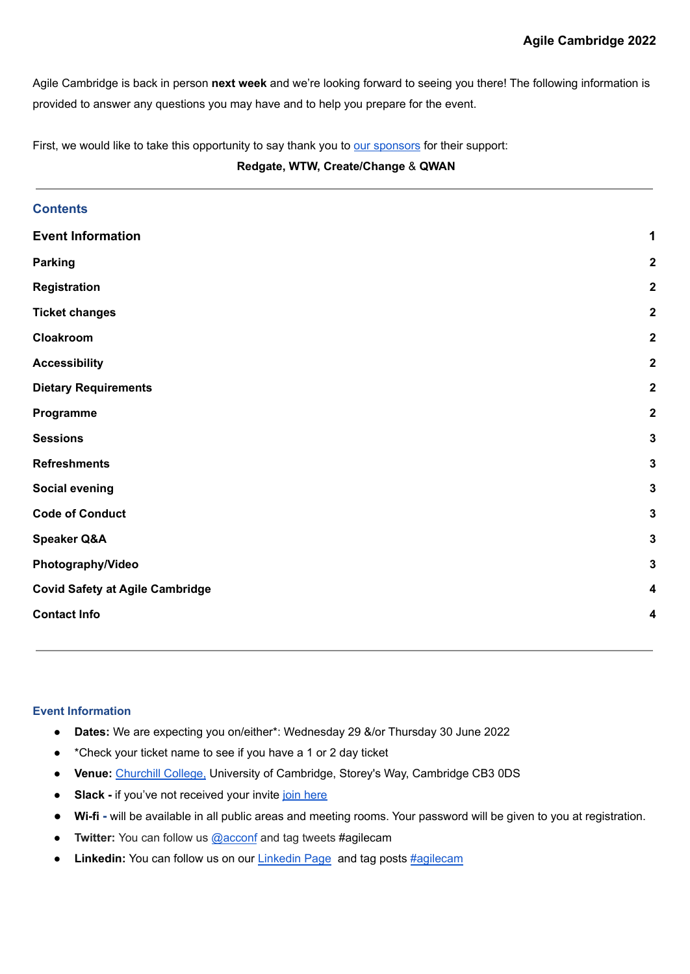Agile Cambridge is back in person **next week** and we're looking forward to seeing you there! The following information is provided to answer any questions you may have and to help you prepare for the event.

First, we would like to take this opportunity to say thank you to our [sponsors](https://agilecambridge.net/sponsors) for their support:

# **Redgate, WTW, Create/Change** & **QWAN**

| <b>Contents</b>                        |                         |
|----------------------------------------|-------------------------|
| <b>Event Information</b>               | 1                       |
| <b>Parking</b>                         | $\boldsymbol{2}$        |
| Registration                           | $\boldsymbol{2}$        |
| <b>Ticket changes</b>                  | $\boldsymbol{2}$        |
| Cloakroom                              | $\boldsymbol{2}$        |
| <b>Accessibility</b>                   | $\boldsymbol{2}$        |
| <b>Dietary Requirements</b>            | $\overline{\mathbf{2}}$ |
| Programme                              | $\boldsymbol{2}$        |
| <b>Sessions</b>                        | $\mathbf{3}$            |
| <b>Refreshments</b>                    | $\mathbf 3$             |
| <b>Social evening</b>                  | $\mathbf 3$             |
| <b>Code of Conduct</b>                 | $\mathbf{3}$            |
| <b>Speaker Q&amp;A</b>                 | $\mathbf 3$             |
| Photography/Video                      | $\mathbf 3$             |
| <b>Covid Safety at Agile Cambridge</b> | 4                       |
| <b>Contact Info</b>                    | $\overline{\mathbf{4}}$ |
|                                        |                         |

## <span id="page-0-0"></span>**Event Information**

- **Dates:** We are expecting you on/either\*: Wednesday 29 &/or Thursday 30 June 2022
- \*Check your ticket name to see if you have a 1 or 2 day ticket
- **Venue:** [Churchill](https://www.chu.cam.ac.uk/about/visit-us/) College, University of Cambridge, Storey's Way, Cambridge CB3 0DS
- **Slack -** if you've not received your invite join [here](https://join.slack.com/t/agilecambridge/shared_invite/zt-1b3wenfww-EY1xGrqgQCAiu5AV3CL5XQ)
- **Wi-fi -** will be available in all public areas and meeting rooms. Your password will be given to you at registration.
- **Twitter:** You can follow us [@acconf](https://twitter.com/acconf) and tag tweets #agilecam
- **[Linkedin](https://www.linkedin.com/showcase/agile-cambridge/):** You can follow us on our Linkedin Page and tag posts [#agilecam](https://www.linkedin.com/company/15858954/admin/hashtag/agilecam/)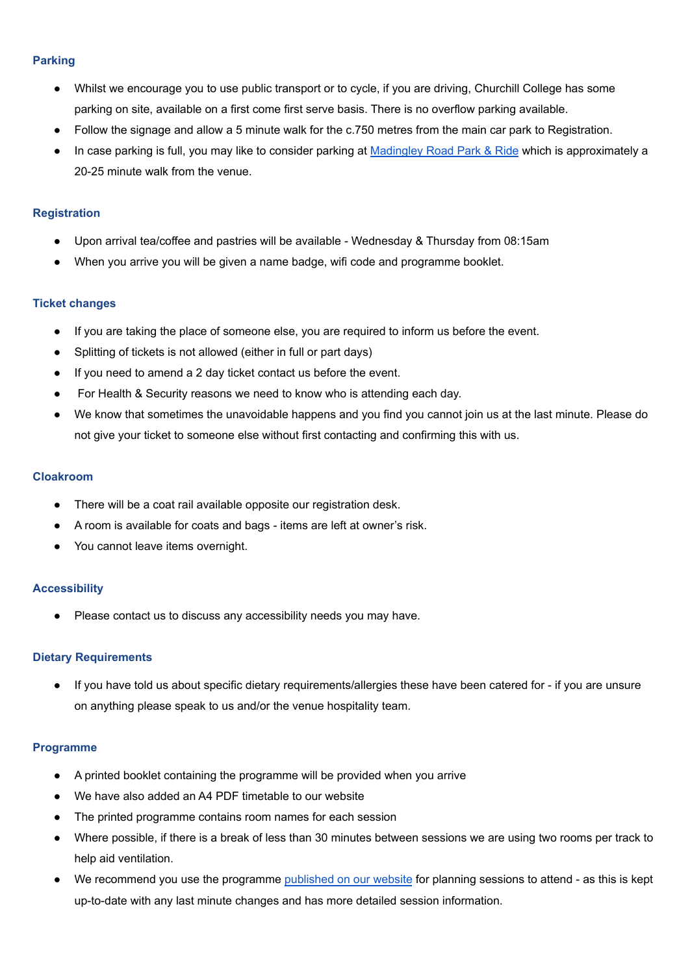## <span id="page-1-0"></span>**Parking**

- Whilst we encourage you to use public transport or to cycle, if you are driving, Churchill College has some parking on site, available on a first come first serve basis. There is no overflow parking available.
- Follow the signage and allow a 5 minute walk for the c.750 metres from the main car park to Registration.
- In case parking is full, you may like to consider parking at [Madingley](https://cambridgeparkandride.info/madingleyroad.shtml) Road Park & Ride which is approximately a 20-25 minute walk from the venue.

## <span id="page-1-1"></span>**Registration**

- Upon arrival tea/coffee and pastries will be available Wednesday & Thursday from 08:15am
- When you arrive you will be given a name badge, wifi code and programme booklet.

## <span id="page-1-2"></span>**Ticket changes**

- If you are taking the place of someone else, you are required to inform us before the event.
- Splitting of tickets is not allowed (either in full or part days)
- If you need to amend a 2 day ticket contact us before the event.
- For Health & Security reasons we need to know who is attending each day.
- We know that sometimes the unavoidable happens and you find you cannot join us at the last minute. Please do not give your ticket to someone else without first contacting and confirming this with us.

## <span id="page-1-3"></span>**Cloakroom**

- There will be a coat rail available opposite our registration desk.
- A room is available for coats and bags items are left at owner's risk.
- You cannot leave items overnight.

## <span id="page-1-4"></span>**Accessibility**

● Please contact us to discuss any accessibility needs you may have.

## <span id="page-1-5"></span>**Dietary Requirements**

If you have told us about specific dietary requirements/allergies these have been catered for - if you are unsure on anything please speak to us and/or the venue hospitality team.

## <span id="page-1-6"></span>**Programme**

- A printed booklet containing the programme will be provided when you arrive
- We have also added an A4 PDF timetable to our website
- The printed programme contains room names for each session
- Where possible, if there is a break of less than 30 minutes between sessions we are using two rooms per track to help aid ventilation.
- We recommend you use the programme [published](https://agilecambridge.net/programme) on our website for planning sessions to attend as this is kept up-to-date with any last minute changes and has more detailed session information.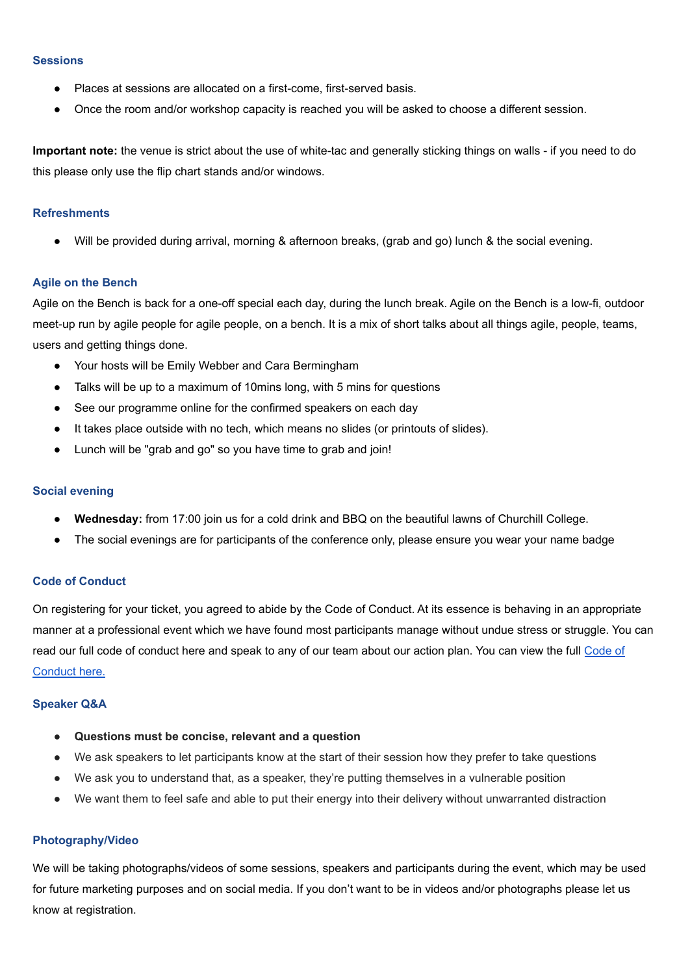#### <span id="page-2-0"></span>**Sessions**

- Places at sessions are allocated on a first-come, first-served basis.
- Once the room and/or workshop capacity is reached you will be asked to choose a different session.

**Important note:** the venue is strict about the use of white-tac and generally sticking things on walls - if you need to do this please only use the flip chart stands and/or windows.

#### <span id="page-2-1"></span>**Refreshments**

Will be provided during arrival, morning & afternoon breaks, (grab and go) lunch & the social evening.

#### **Agile on the Bench**

Agile on the Bench is back for a one-off special each day, during the lunch break. Agile on the Bench is a low-fi, outdoor meet-up run by agile people for agile people, on a bench. It is a mix of short talks about all things agile, people, teams, users and getting things done.

- Your hosts will be Emily Webber and Cara Bermingham
- Talks will be up to a maximum of 10mins long, with 5 mins for questions
- See our programme online for the confirmed speakers on each day
- It takes place outside with no tech, which means no slides (or printouts of slides).
- Lunch will be "grab and go" so you have time to grab and join!

#### <span id="page-2-2"></span>**Social evening**

- **Wednesday:** from 17:00 join us for a cold drink and BBQ on the beautiful lawns of Churchill College.
- The social evenings are for participants of the conference only, please ensure you wear your name badge

## <span id="page-2-3"></span>**Code of Conduct**

On registering for your ticket, you agreed to abide by the Code of Conduct. At its essence is behaving in an appropriate manner at a professional event which we have found most participants manage without undue stress or struggle. You can read our full code of conduct here and speak to any of our team about our action plan. You can view the full [Code](https://agilecambridge.net/code-of-conduct) of [Conduct](https://agilecambridge.net/code-of-conduct) here.

#### <span id="page-2-4"></span>**Speaker Q&A**

- **● Questions must be concise, relevant and a question**
- We ask speakers to let participants know at the start of their session how they prefer to take questions
- We ask you to understand that, as a speaker, they're putting themselves in a vulnerable position
- We want them to feel safe and able to put their energy into their delivery without unwarranted distraction

#### <span id="page-2-5"></span>**Photography/Video**

We will be taking photographs/videos of some sessions, speakers and participants during the event, which may be used for future marketing purposes and on social media. If you don't want to be in videos and/or photographs please let us know at registration.